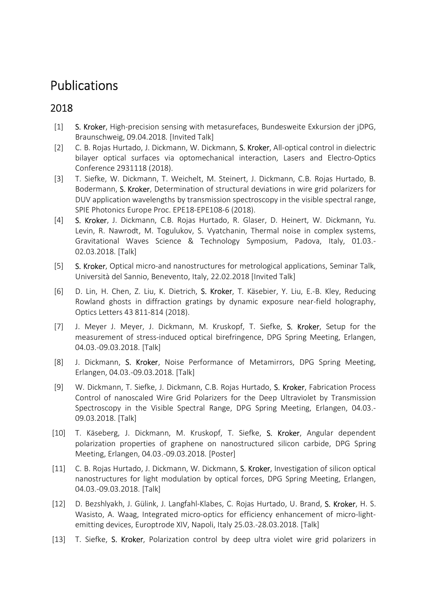## Publications

## 2018

- [1] S. Kroker, High-precision sensing with metasurefaces, Bundesweite Exkursion der jDPG, Braunschweig, 09.04.2018. [Invited Talk]
- [2] C. B. Rojas Hurtado, J. Dickmann, W. Dickmann, S. Kroker, All-optical control in dielectric bilayer optical surfaces via optomechanical interaction, Lasers and Electro-Optics Conference 2931118 (2018).
- [3] T. Siefke, W. Dickmann, T. Weichelt, M. Steinert, J. Dickmann, C.B. Rojas Hurtado, B. Bodermann, S. Kroker, Determination of structural deviations in wire grid polarizers for DUV application wavelengths by transmission spectroscopy in the visible spectral range, SPIE Photonics Europe Proc. EPE18-EPE108-6 (2018).
- [4] S. Kroker, J. Dickmann, C.B. Rojas Hurtado, R. Glaser, D. Heinert, W. Dickmann, Yu. Levin, R. Nawrodt, M. Togulukov, S. Vyatchanin, Thermal noise in complex systems, Gravitational Waves Science & Technology Symposium, Padova, Italy, 01.03.- 02.03.2018. [Talk]
- [5] S. Kroker, Optical micro-and nanostructures for metrological applications, Seminar Talk, Università del Sannio, Benevento, Italy, 22.02.2018 [Invited Talk]
- [6] D. Lin, H. Chen, Z. Liu, K. Dietrich, S. Kroker, T. Käsebier, Y. Liu, E.-B. Kley, Reducing Rowland ghosts in diffraction gratings by dynamic exposure near-field holography, Optics Letters 43 811-814 (2018).
- [7] J. Meyer J. Meyer, J. Dickmann, M. Kruskopf, T. Siefke, S. Kroker, Setup for the measurement of stress-induced optical birefringence, DPG Spring Meeting, Erlangen, 04.03.-09.03.2018. [Talk]
- [8] J. Dickmann, S. Kroker, Noise Performance of Metamirrors, DPG Spring Meeting, Erlangen, 04.03.-09.03.2018. [Talk]
- [9] W. Dickmann, T. Siefke, J. Dickmann, C.B. Rojas Hurtado, S. Kroker, Fabrication Process Control of nanoscaled Wire Grid Polarizers for the Deep Ultraviolet by Transmission Spectroscopy in the Visible Spectral Range, DPG Spring Meeting, Erlangen, 04.03.- 09.03.2018. [Talk]
- [10] T. Käseberg, J. Dickmann, M. Kruskopf, T. Siefke, S. Kroker, Angular dependent polarization properties of graphene on nanostructured silicon carbide, DPG Spring Meeting, Erlangen, 04.03.-09.03.2018. [Poster]
- [11] C. B. Rojas Hurtado, J. Dickmann, W. Dickmann, S. Kroker, Investigation of silicon optical nanostructures for light modulation by optical forces, DPG Spring Meeting, Erlangen, 04.03.-09.03.2018. [Talk]
- [12] D. Bezshlyakh, J. Gülink, J. Langfahl-Klabes, C. Rojas Hurtado, U. Brand, S. Kroker, H. S. Wasisto, A. Waag, Integrated micro-optics for efficiency enhancement of micro-lightemitting devices, Europtrode XIV, Napoli, Italy 25.03.-28.03.2018. [Talk]
- [13] T. Siefke, S. Kroker, Polarization control by deep ultra violet wire grid polarizers in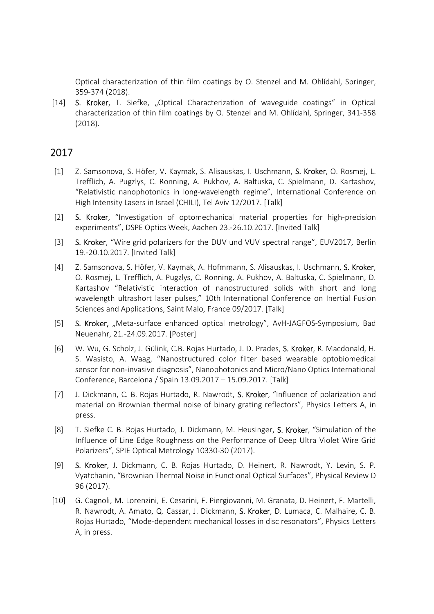Optical characterization of thin film coatings by O. Stenzel and M. Ohlídahl, Springer, 359-374 (2018).

[14] S. Kroker, T. Siefke, "Optical Characterization of waveguide coatings" in Optical characterization of thin film coatings by O. Stenzel and M. Ohlídahl, Springer, 341-358 (2018).

## 2017

- [1] Z. Samsonova, S. Höfer, V. Kaymak, S. Alisauskas, I. Uschmann, S. Kroker, O. Rosmej, L. Trefflich, A. Pugzlys, C. Ronning, A. Pukhov, A. Baltuska, C. Spielmann, D. Kartashov, "Relativistic nanophotonics in long-wavelength regime", International Conference on High Intensity Lasers in Israel (CHILI), Tel Aviv 12/2017. [Talk]
- [2] S. Kroker, "Investigation of optomechanical material properties for high-precision experiments", DSPE Optics Week, Aachen 23.-26.10.2017. [Invited Talk]
- [3] S. Kroker, "Wire grid polarizers for the DUV und VUV spectral range", EUV2017, Berlin 19.-20.10.2017. [Invited Talk]
- [4] Z. Samsonova, S. Höfer, V. Kaymak, A. Hofmmann, S. Alisauskas, I. Uschmann, S. Kroker, O. Rosmej, L. Trefflich, A. Pugzlys, C. Ronning, A. Pukhov, A. Baltuska, C. Spielmann, D. Kartashov "Relativistic interaction of nanostructured solids with short and long wavelength ultrashort laser pulses," 10th International Conference on Inertial Fusion Sciences and Applications, Saint Malo, France 09/2017. [Talk]
- [5] S. Kroker, "Meta-surface enhanced optical metrology", AvH-JAGFOS-Symposium, Bad Neuenahr, 21.-24.09.2017. [Poster]
- [6] W. Wu, G. Scholz, J. Gülink, C.B. Rojas Hurtado, J. D. Prades, S. Kroker, R. Macdonald, H. S. Wasisto, A. Waag, "Nanostructured color filter based wearable optobiomedical sensor for non-invasive diagnosis", Nanophotonics and Micro/Nano Optics International Conference, Barcelona / Spain 13.09.2017 – 15.09.2017. [Talk]
- [7] J. Dickmann, C. B. Rojas Hurtado, R. Nawrodt, S. Kroker, "Influence of polarization and material on Brownian thermal noise of binary grating reflectors", Physics Letters A, in press.
- [8] T. Siefke C. B. Rojas Hurtado, J. Dickmann, M. Heusinger, S. Kroker, "Simulation of the Influence of Line Edge Roughness on the Performance of Deep Ultra Violet Wire Grid Polarizers", SPIE Optical Metrology 10330-30 (2017).
- [9] S. Kroker, J. Dickmann, C. B. Rojas Hurtado, D. Heinert, R. Nawrodt, Y. Levin, S. P. Vyatchanin, "Brownian Thermal Noise in Functional Optical Surfaces", Physical Review D 96 (2017).
- [10] G. Cagnoli, M. Lorenzini, E. Cesarini, F. Piergiovanni, M. Granata, D. Heinert, F. Martelli, R. Nawrodt, A. Amato, Q. Cassar, J. Dickmann, S. Kroker, D. Lumaca, C. Malhaire, C. B. Rojas Hurtado, "Mode-dependent mechanical losses in disc resonators", Physics Letters A, in press.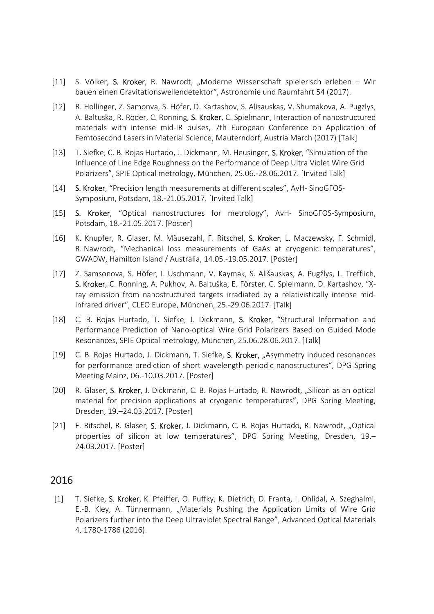- [11] S. Völker, S. Kroker, R. Nawrodt, "Moderne Wissenschaft spielerisch erleben Wir bauen einen Gravitationswellendetektor", Astronomie und Raumfahrt 54 (2017).
- [12] R. Hollinger, Z. Samonva, S. Höfer, D. Kartashov, S. Alisauskas, V. Shumakova, A. Pugzlys, A. Baltuska, R. Röder, C. Ronning, S. Kroker, C. Spielmann, Interaction of nanostructured materials with intense mid-IR pulses, 7th European Conference on Application of Femtosecond Lasers in Material Science, Mauterndorf, Austria March (2017) [Talk]
- [13] T. Siefke, C. B. Rojas Hurtado, J. Dickmann, M. Heusinger, S. Kroker, "Simulation of the Influence of Line Edge Roughness on the Performance of Deep Ultra Violet Wire Grid Polarizers", SPIE Optical metrology, München, 25.06.-28.06.2017. [Invited Talk]
- [14] S. Kroker, "Precision length measurements at different scales", AvH- SinoGFOS-Symposium, Potsdam, 18.-21.05.2017. [Invited Talk]
- [15] S. Kroker, "Optical nanostructures for metrology", AvH- SinoGFOS-Symposium, Potsdam, 18.-21.05.2017. [Poster]
- [16] K. Knupfer, R. Glaser, M. Mäusezahl, F. Ritschel, S. Kroker, L. Maczewsky, F. Schmidl, R. Nawrodt, "Mechanical loss measurements of GaAs at cryogenic temperatures", GWADW, Hamilton Island / Australia, 14.05.-19.05.2017. [Poster]
- [17] Z. Samsonova, S. Höfer, I. Uschmann, V. Kaymak, S. Ališauskas, A. Pugžlys, L. Trefflich, S. Kroker, C. Ronning, A. Pukhov, A. Baltuška, E. Förster, C. Spielmann, D. Kartashov, "Xray emission from nanostructured targets irradiated by a relativistically intense midinfrared driver", CLEO Europe, München, 25.-29.06.2017. [Talk]
- [18] C. B. Rojas Hurtado, T. Siefke, J. Dickmann, S. Kroker, "Structural Information and Performance Prediction of Nano-optical Wire Grid Polarizers Based on Guided Mode Resonances, SPIE Optical metrology, München, 25.06.28.06.2017. [Talk]
- [19] C. B. Rojas Hurtado, J. Dickmann, T. Siefke, S. Kroker, "Asymmetry induced resonances for performance prediction of short wavelength periodic nanostructures", DPG Spring Meeting Mainz, 06.-10.03.2017. [Poster]
- [20] R. Glaser, S. Kroker, J. Dickmann, C. B. Rojas Hurtado, R. Nawrodt, "Silicon as an optical material for precision applications at cryogenic temperatures", DPG Spring Meeting, Dresden, 19.–24.03.2017. [Poster]
- [21] F. Ritschel, R. Glaser, S. Kroker, J. Dickmann, C. B. Rojas Hurtado, R. Nawrodt, "Optical properties of silicon at low temperatures", DPG Spring Meeting, Dresden, 19.– 24.03.2017. [Poster]

## 2016

[1] T. Siefke, S. Kroker, K. Pfeiffer, O. Puffky, K. Dietrich, D. Franta, I. Ohlídal, A. Szeghalmi, E.-B. Kley, A. Tünnermann, "Materials Pushing the Application Limits of Wire Grid Polarizers further into the Deep Ultraviolet Spectral Range", Advanced Optical Materials 4, 1780-1786 (2016).